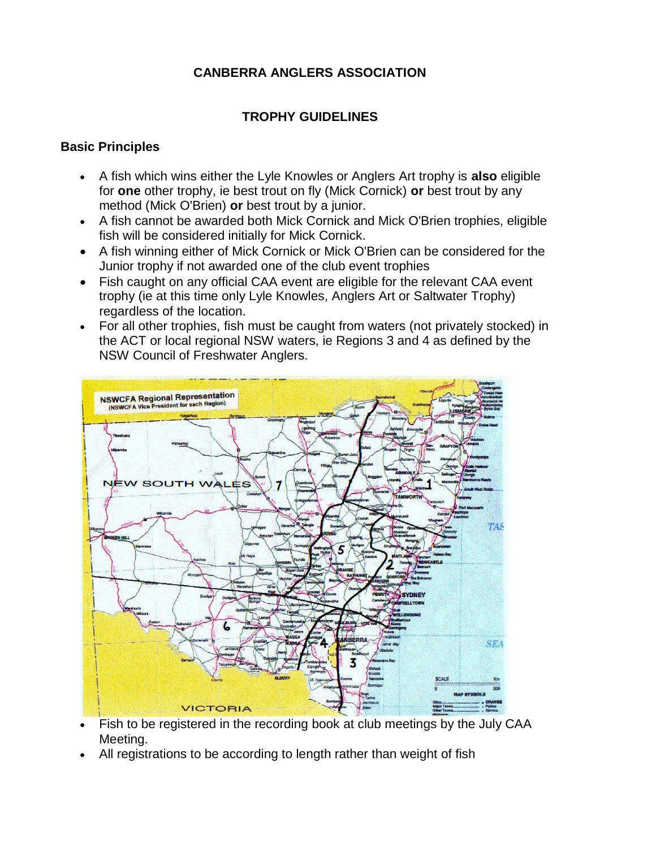## **CANBERRA ANGLERS ASSOCIATION**

## **TROPHY GUIDELINES**

#### **Basic Principles**

- A fish which wins either the Lyle Knowles or Anglers Art trophy is **also** eligible for **one** other trophy, ie best trout on fly (Mick Cornick) **or** best trout by any method (Mick O'Brien) **or** best trout by a junior.
- A fish cannot be awarded both Mick Cornick and Mick O'Brien trophies, eligible fish will be considered initially for Mick Cornick.
- A fish winning either of Mick Cornick or Mick O'Brien can be considered for the Junior trophy if not awarded one of the club event trophies
- Fish caught on any official CAA event are eligible for the relevant CAA event trophy (ie at this time only Lyle Knowles, Anglers Art or Saltwater Trophy) regardless of the location.
- For all other trophies, fish must be caught from waters (not privately stocked) in the ACT or local regional NSW waters, ie Regions 3 and 4 as defined by the NSW Council of Freshwater Anglers.



- Fish to be registered in the recording book at club meetings by the July CAA Meeting.
- All registrations to be according to length rather than weight of fish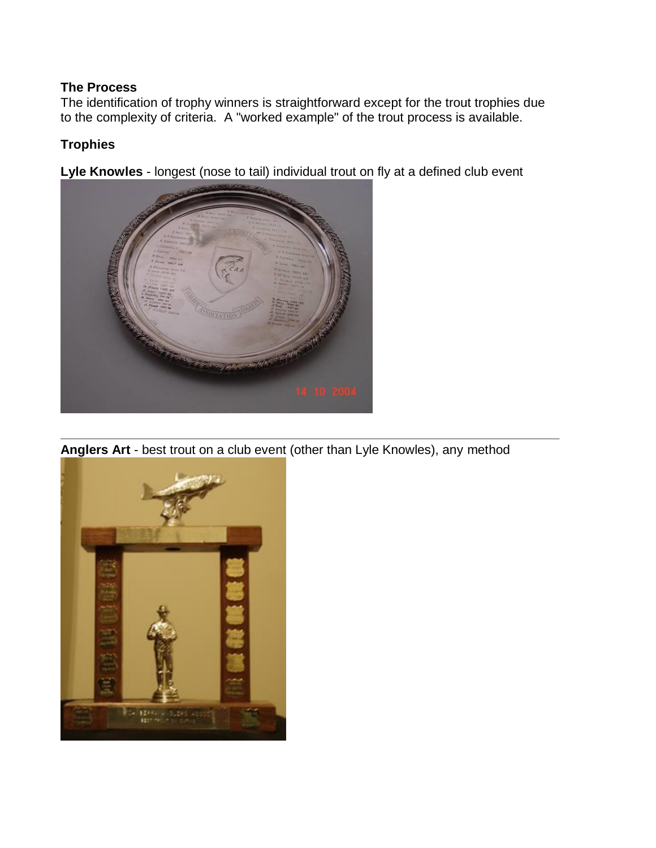#### **The Process**

The identification of trophy winners is straightforward except for the trout trophies due to the complexity of criteria. A "worked example" of the trout process is available.

## **Trophies**

**Lyle Knowles** - longest (nose to tail) individual trout on fly at a defined club event



**Anglers Art** - best trout on a club event (other than Lyle Knowles), any method

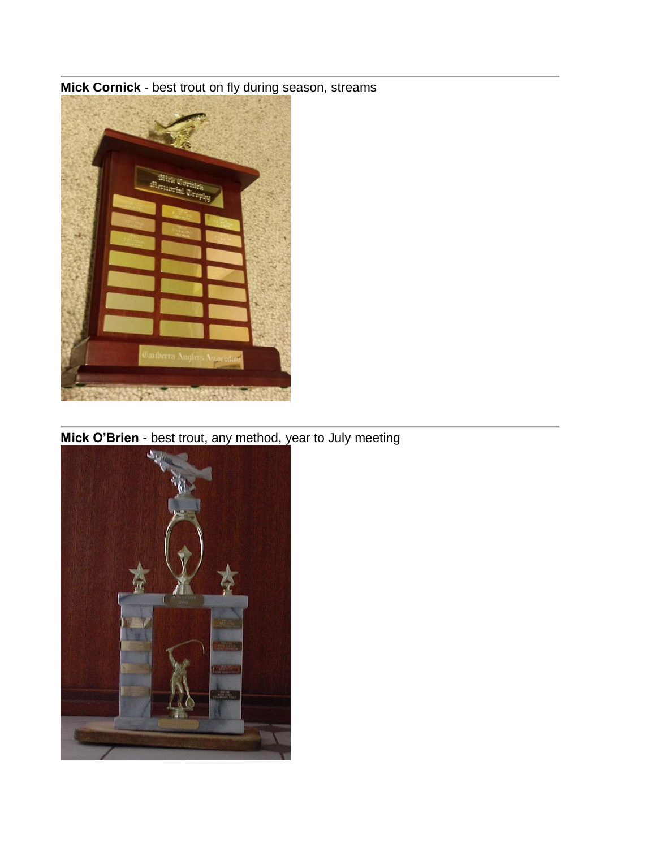

**Mick Cornick** - best trout on fly during season, streams

**Mick O'Brien** - best trout, any method, year to July meeting

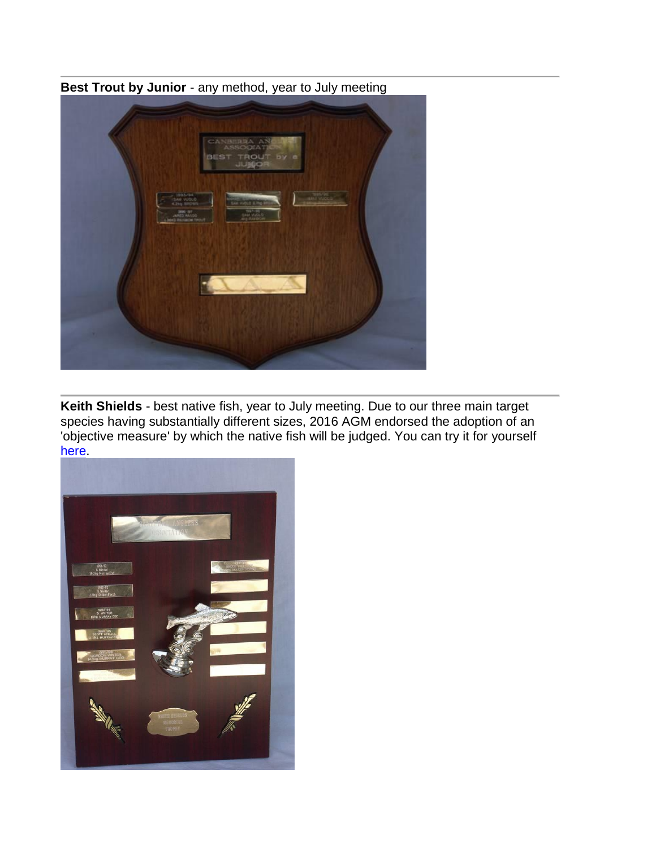**Best Trout by Junior** - any method, year to July meeting



**Keith Shields** - best native fish, year to July meeting. Due to our three main target species having substantially different sizes, 2016 AGM endorsed the adoption of an 'objective measure' by which the native fish will be judged. You can try it for yourself [here.](file:///C:/Users/blairfam/Documents/canberra-anglers_asn_au/club_process/rate_my_catch.htm)

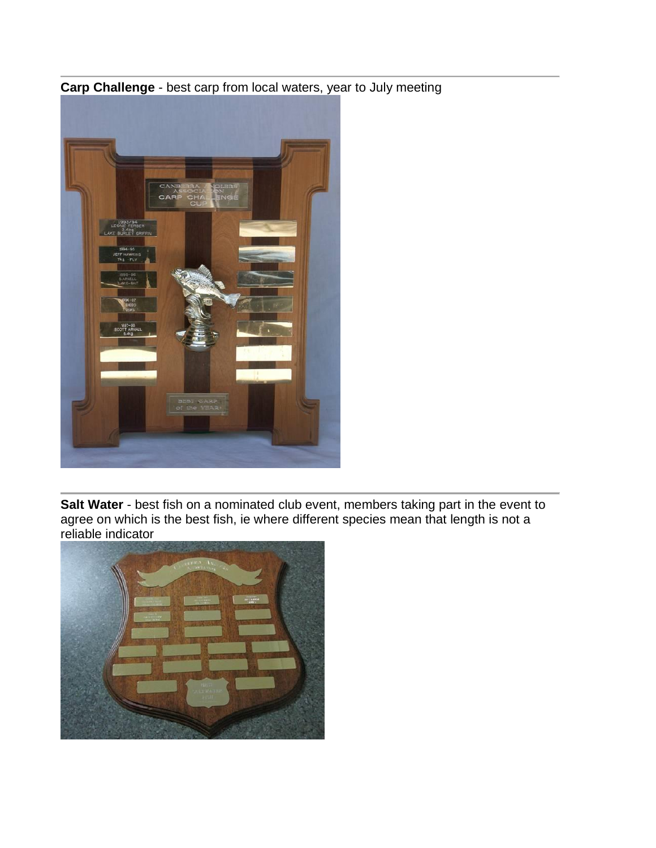

**Carp Challenge** - best carp from local waters, year to July meeting

**Salt Water** - best fish on a nominated club event, members taking part in the event to agree on which is the best fish, ie where different species mean that length is not a reliable indicator

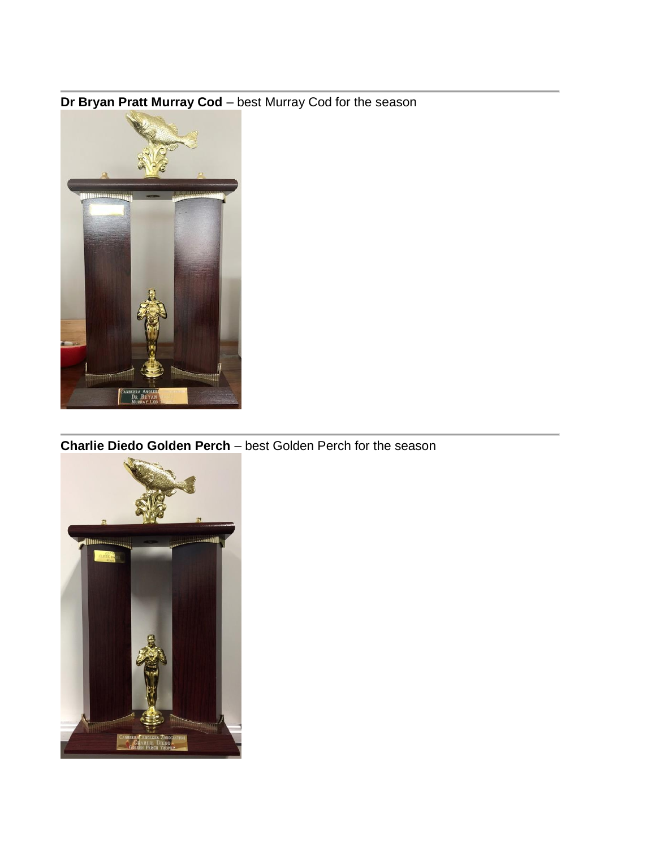# **Dr Bryan Pratt Murray Cod** – best Murray Cod for the season



**Charlie Diedo Golden Perch** – best Golden Perch for the season